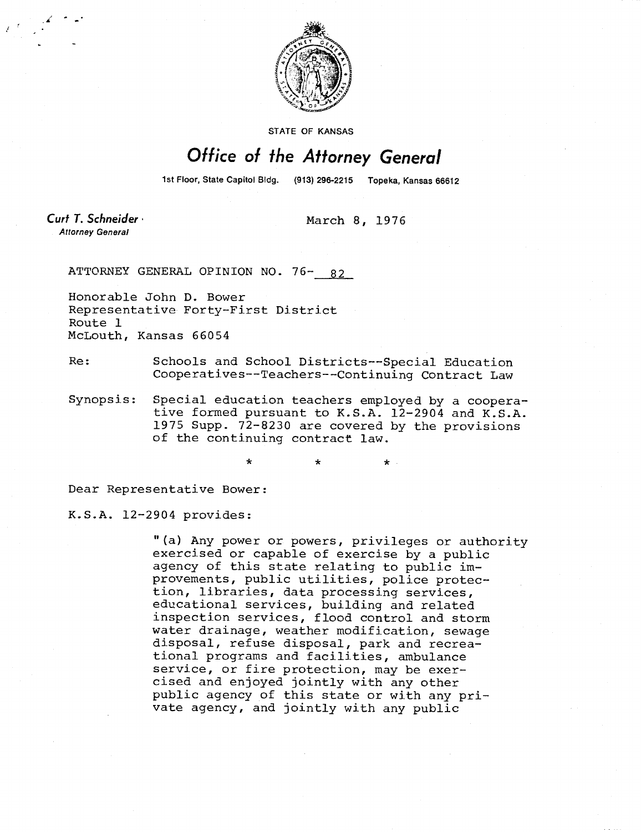

**STATE OF KANSAS** 

## Office of the Attorney General

1st Floor, State Capitol Bidg. (913) 296-2215 Topeka, Kansas 66612

Curt T. Schneider · **Attorney General** 

March 8, 1976

ATTORNEY GENERAL OPINION NO. 76-82

Honorable John D. Bower Representative Forty-First District Route 1 McLouth, Kansas 66054

Re: Schools and School Districts--Special Education Cooperatives--Teachers--Continuing Contract Law

Synopsis: Special education teachers employed by a cooperative formed pursuant to K.S.A. 12-2904 and K.S.A. 1975 Supp. 72-8230 are covered by the provisions of the continuing contract law.

\* \* \*

Dear Representative Bower:

K.S.A. 12-2904 provides:

"(a) Any power or powers, privileges or authority exercised or capable of exercise by a public agency of this state relating to public improvements, public utilities, police protection, libraries, data processing services, educational services, building and related inspection services, flood control and storm water drainage, weather modification, sewage disposal, refuse disposal, park and recreational programs and facilities, ambulance service, or fire protection, may be exercised and enjoyed jointly with any other public agency of this state or with any private agency, and jointly with any public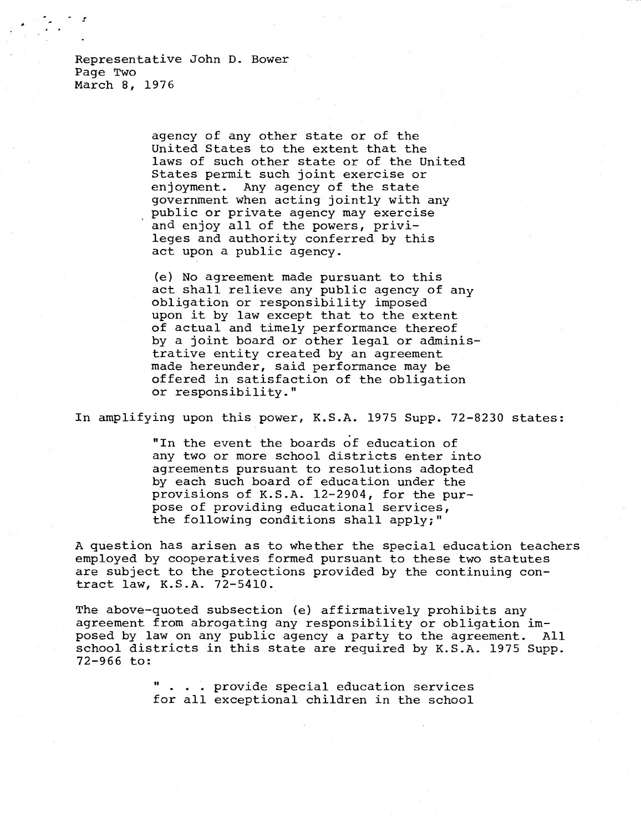Representative John D. Bower Page Two March 8, 1976

> agency of any other state or of the United States to the extent that the laws of such other state or of the United States permit such joint exercise or enjoyment. Any agency of the state government when acting jointly with any public or private agency may exercise and enjoy all of the powers, privileges and authority conferred by this act upon a public agency.

(e) No agreement made pursuant to this act shall relieve any public agency of any obligation or responsibility imposed upon it by law except that to the extent of actual and timely performance thereof by a joint board or other legal or administrative entity created by an agreement made hereunder, said performance may be offered in satisfaction of the obligation or responsibility."

In amplifying upon this power, K.S.A. 1975 Supp. 72-8230 states:

"In the event the boards of education of any two or more school districts enter into agreements pursuant to resolutions adopted by each such board of education under the provisions of K.S.A. 12-2904, for the purpose of providing educational services, the following conditions shall apply;"

A question has arisen as to whether the special education teachers employed by cooperatives formed pursuant to these two statutes are subject to the protections provided by the continuing contract law, K.S.A. 72-5410.

The above-quoted subsection (e) affirmatively prohibits any agreement from abrogating any responsibility or obligation imposed by law on any public agency a party to the agreement. All school districts in this state are required by K.S.A. 1975 Supp. 72-966 to:

> . . . provide special education services for all exceptional children in the school